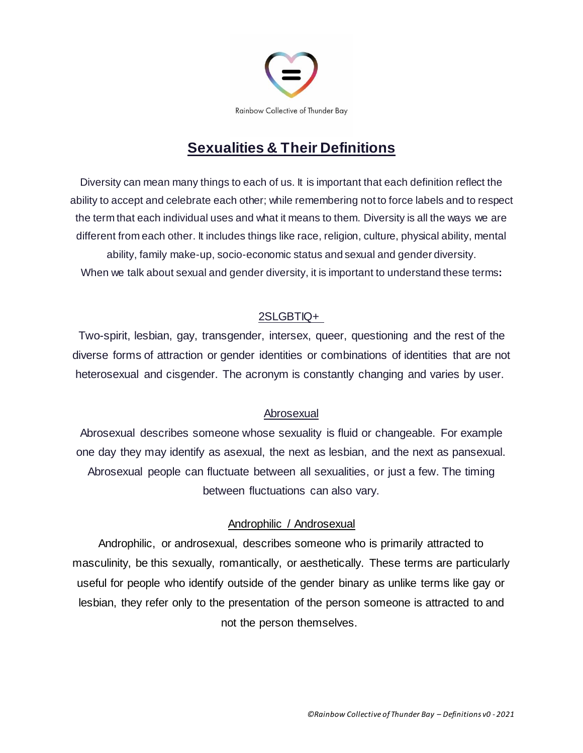

# **Sexualities & Their Definitions**

Diversity can mean many things to each of us. It is important that each definition reflect the ability to accept and celebrate each other; while remembering not to force labels and to respect the term that each individual uses and what it means to them. Diversity is all the ways we are different from each other. It includes things like race, religion, culture, physical ability, mental ability, family make-up, socio-economic status and sexual and gender diversity. When we talk about sexual and gender diversity, it is important to understand these terms**:**

# 2SLGBTIQ+

Two-spirit, lesbian, gay, transgender, intersex, queer, questioning and the rest of the diverse forms of attraction or gender identities or combinations of identities that are not heterosexual and cisgender. The acronym is constantly changing and varies by user.

#### Abrosexual

Abrosexual describes someone whose sexuality is fluid or changeable. For example one day they may identify as asexual, the next as lesbian, and the next as pansexual. Abrosexual people can fluctuate between all sexualities, or just a few. The timing between fluctuations can also vary.

#### Androphilic / Androsexual

Androphilic, or androsexual, describes someone who is primarily attracted to masculinity, be this sexually, romantically, or aesthetically. These terms are particularly useful for people who identify outside of the gender binary as unlike terms like gay or lesbian, they refer only to the presentation of the person someone is attracted to and not the person themselves.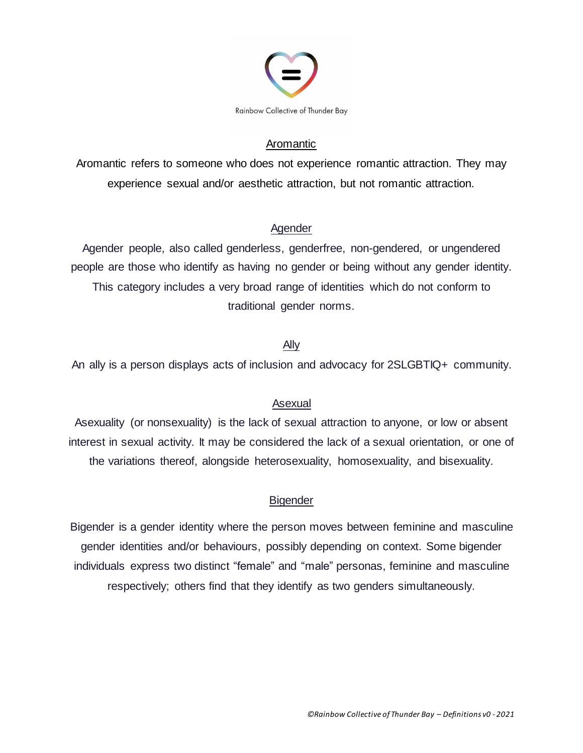

### Aromantic

Aromantic refers to someone who does not experience romantic attraction. They may experience sexual and/or aesthetic attraction, but not romantic attraction.

#### Agender

Agender people, also called genderless, genderfree, non-gendered, or ungendered people are those who identify as having no gender or being without any gender identity. This category includes a very broad range of identities which do not conform to traditional gender norms.

# Ally

An ally is a person displays acts of inclusion and advocacy for 2SLGBTIQ+ community.

#### Asexual

Asexuality (or nonsexuality) is the lack of sexual attraction to anyone, or low or absent interest in sexual activity. It may be considered the lack of a sexual orientation, or one of the variations thereof, alongside heterosexuality, homosexuality, and bisexuality.

#### **Bigender**

Bigender is a gender identity where the person moves between feminine and masculine gender identities and/or behaviours, possibly depending on context. Some bigender individuals express two distinct "female" and "male" personas, feminine and masculine respectively; others find that they identify as two genders simultaneously.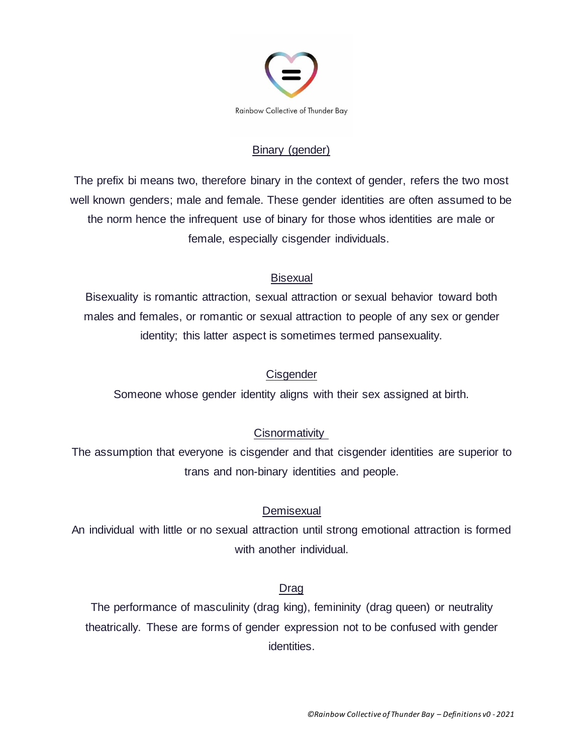

#### Binary (gender)

The prefix bi means two, therefore binary in the context of gender, refers the two most well known genders; male and female. These gender identities are often assumed to be the norm hence the infrequent use of binary for those whos identities are male or female, especially cisgender individuals.

### **Bisexual**

Bisexuality is romantic attraction, sexual attraction or sexual behavior toward both males and females, or romantic or sexual attraction to people of any sex or gender identity; this latter aspect is sometimes termed pansexuality.

### **Cisgender**

Someone whose gender identity aligns with their sex assigned at birth.

# **Cisnormativity**

The assumption that everyone is cisgender and that cisgender identities are superior to trans and non-binary identities and people.

#### **Demisexual**

An individual with little or no sexual attraction until strong emotional attraction is formed with another individual.

#### Drag

The performance of masculinity (drag king), femininity (drag queen) or neutrality theatrically. These are forms of gender expression not to be confused with gender identities.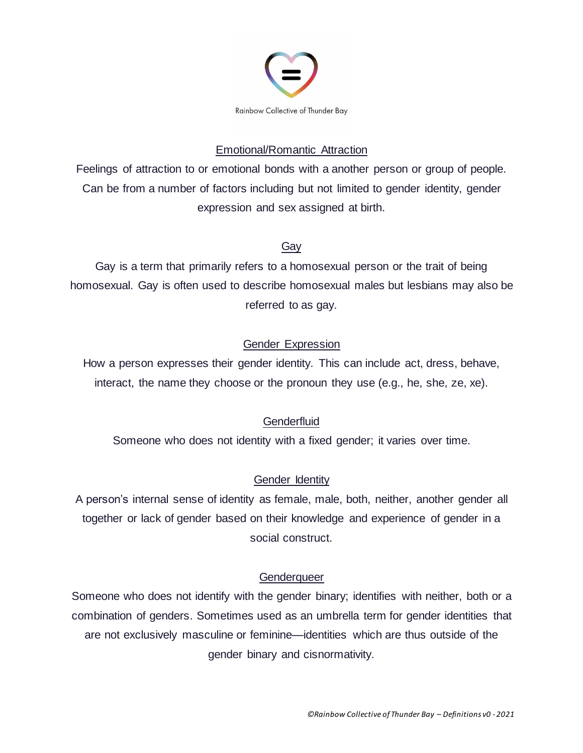

#### Emotional/Romantic Attraction

Feelings of attraction to or emotional bonds with a another person or group of people. Can be from a number of factors including but not limited to gender identity, gender expression and sex assigned at birth.

#### Gay

Gay is a term that primarily refers to a homosexual person or the trait of being homosexual. Gay is often used to describe homosexual males but lesbians may also be referred to as gay.

#### Gender Expression

How a person expresses their gender identity. This can include act, dress, behave, interact, the name they choose or the pronoun they use (e.g., he, she, ze, xe).

#### **Genderfluid**

Someone who does not identity with a fixed gender; it varies over time.

#### Gender Identity

A person's internal sense of identity as female, male, both, neither, another gender all together or lack of gender based on their knowledge and experience of gender in a social construct.

#### Genderqueer

Someone who does not identify with the gender binary; identifies with neither, both or a combination of genders. Sometimes used as an umbrella term for gender identities that are not exclusively masculine or feminine—identities which are thus outside of the gender binary and cisnormativity.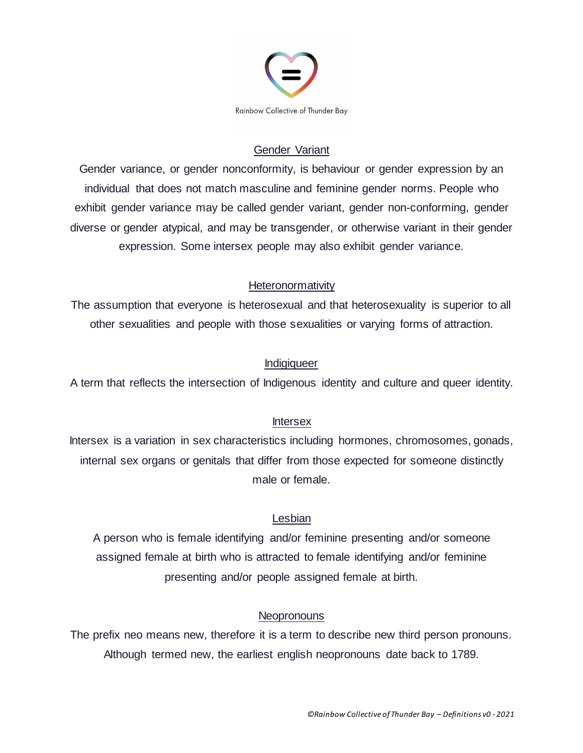

#### Gender Variant

Gender variance, or gender nonconformity, is behaviour or gender expression by an individual that does not match masculine and feminine gender norms. People who exhibit gender variance may be called gender variant, gender non-conforming, gender diverse or gender atypical, and may be transgender, or otherwise variant in their gender expression. Some intersex people may also exhibit gender variance.

#### **Heteronormativity**

The assumption that everyone is heterosexual and that heterosexuality is superior to all other sexualities and people with those sexualities or varying forms of attraction.

#### Indigiqueer

A term that reflects the intersection of Indigenous identity and culture and queer identity.

#### **Intersex**

Intersex is a variation in sex characteristics including hormones, chromosomes, gonads, internal sex organs or genitals that differ from those expected for someone distinctly male or female.

#### Lesbian

A person who is female identifying and/or feminine presenting and/or someone assigned female at birth who is attracted to female identifying and/or feminine presenting and/or people assigned female at birth.

#### Neopronouns

The prefix neo means new, therefore it is a term to describe new third person pronouns. Although termed new, the earliest english neopronouns date back to 1789.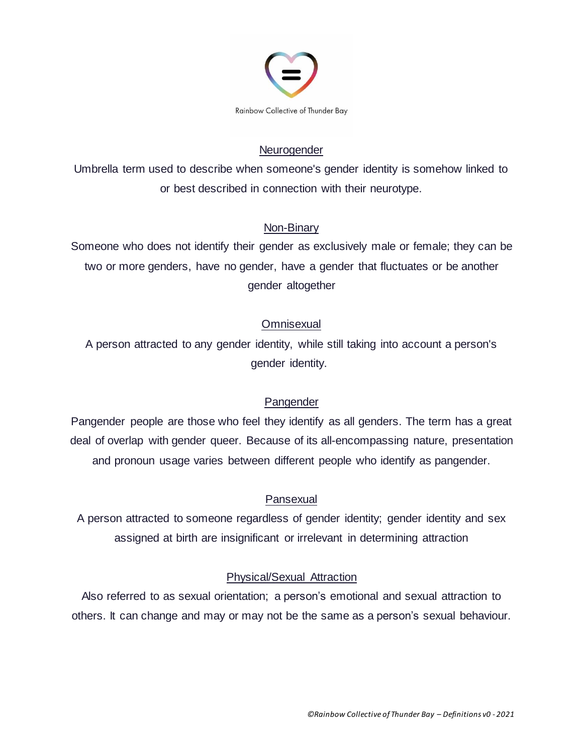

#### Neurogender

Umbrella term used to describe when someone's gender identity is somehow linked to or best described in connection with their neurotype.

#### Non-Binary

Someone who does not identify their gender as exclusively male or female; they can be two or more genders, have no gender, have a gender that fluctuates or be another gender altogether

### **Omnisexual**

A person attracted to any gender identity, while still taking into account a person's gender identity.

# Pangender

Pangender people are those who feel they identify as all genders. The term has a great deal of overlap with gender queer. Because of its all-encompassing nature, presentation and pronoun usage varies between different people who identify as pangender.

#### Pansexual

A person attracted to someone regardless of gender identity; gender identity and sex assigned at birth are insignificant or irrelevant in determining attraction

#### Physical/Sexual Attraction

Also referred to as sexual orientation; a person's emotional and sexual attraction to others. It can change and may or may not be the same as a person's sexual behaviour.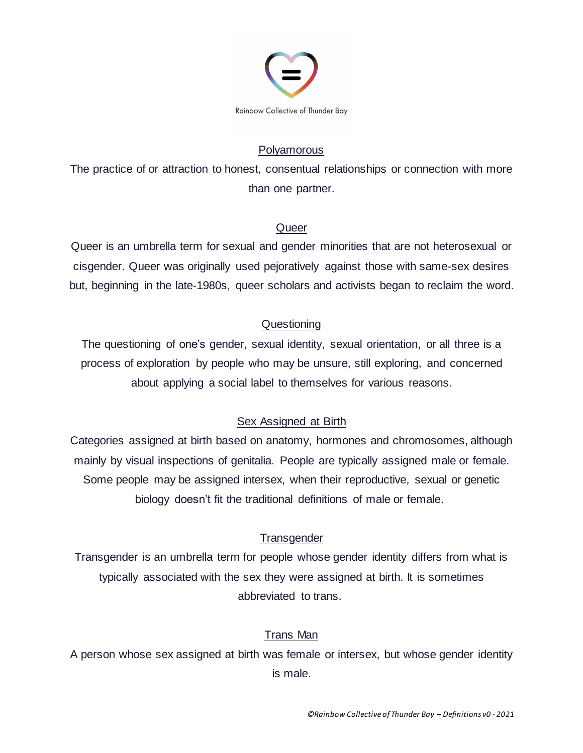

#### Polyamorous

The practice of or attraction to honest, consentual relationships or connection with more than one partner.

#### Queer

Queer is an umbrella term for sexual and gender minorities that are not heterosexual or cisgender. Queer was originally used pejoratively against those with same-sex desires but, beginning in the late-1980s, queer scholars and activists began to reclaim the word.

### **Questioning**

The questioning of one's gender, sexual identity, sexual orientation, or all three is a process of exploration by people who may be unsure, still exploring, and concerned about applying a social label to themselves for various reasons.

# Sex Assigned at Birth

Categories assigned at birth based on anatomy, hormones and chromosomes, although mainly by visual inspections of genitalia. People are typically assigned male or female. Some people may be assigned intersex, when their reproductive, sexual or genetic biology doesn't fit the traditional definitions of male or female.

# **Transgender**

Transgender is an umbrella term for people whose gender identity differs from what is typically associated with the sex they were assigned at birth. It is sometimes abbreviated to trans.

# Trans Man

A person whose sex assigned at birth was female or intersex, but whose gender identity is male.